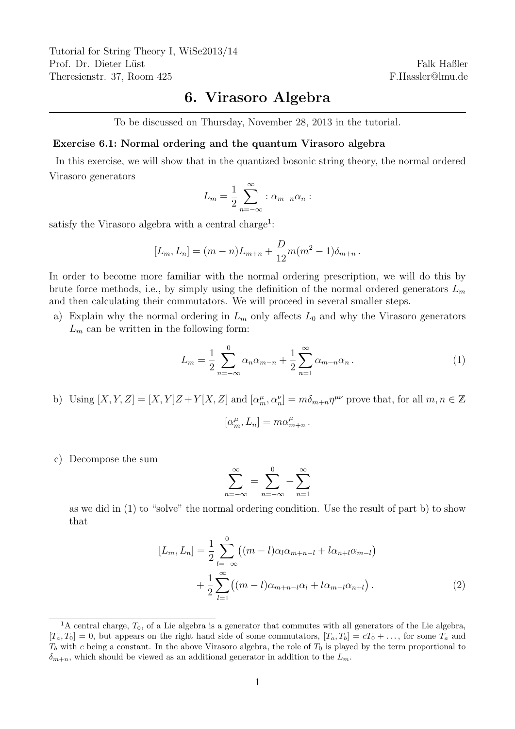Tutorial for String Theory I, WiSe2013/14 Prof. Dr. Dieter Lüst Theresienstr. 37, Room 425

Falk Haßler F.Hassler@lmu.de

## 6. Virasoro Algebra

To be discussed on Thursday, November 28, 2013 in the tutorial.

## Exercise 6.1: Normal ordering and the quantum Virasoro algebra

In this exercise, we will show that in the quantized bosonic string theory, the normal ordered Virasoro generators

$$
L_m = \frac{1}{2} \sum_{n=-\infty}^{\infty} : \alpha_{m-n} \alpha_n :
$$

satisfy the Virasoro algebra with a central charge<sup>1</sup>:

$$
[L_m, L_n] = (m - n)L_{m+n} + \frac{D}{12}m(m^2 - 1)\delta_{m+n}.
$$

In order to become more familiar with the normal ordering prescription, we will do this by brute force methods, i.e., by simply using the definition of the normal ordered generators  $L_m$ and then calculating their commutators. We will proceed in several smaller steps.

a) Explain why the normal ordering in  $L_m$  only affects  $L_0$  and why the Virasoro generators  $L_m$  can be written in the following form:

$$
L_m = \frac{1}{2} \sum_{n=-\infty}^{0} \alpha_n \alpha_{m-n} + \frac{1}{2} \sum_{n=1}^{\infty} \alpha_{m-n} \alpha_n.
$$
 (1)

.

b) Using  $[X, Y, Z] = [X, Y]Z + Y[X, Z]$  and  $[\alpha_m^{\mu}, \alpha_n^{\nu}] = m\delta_{m+n}\eta^{\mu\nu}$  prove that, for all  $m, n \in \mathbb{Z}$ 

$$
[\alpha_m^\mu,L_n]=m\alpha_{m+n}^\mu
$$

c) Decompose the sum

$$
\sum_{n=-\infty}^{\infty} = \sum_{n=-\infty}^{0} + \sum_{n=1}^{\infty}
$$

as we did in (1) to "solve" the normal ordering condition. Use the result of part b) to show that

$$
[L_m, L_n] = \frac{1}{2} \sum_{l=-\infty}^{0} ((m-l)\alpha_l \alpha_{m+n-l} + l \alpha_{n+l} \alpha_{m-l}) + \frac{1}{2} \sum_{l=1}^{\infty} ((m-l)\alpha_{m+n-l} \alpha_l + l \alpha_{m-l} \alpha_{n+l}).
$$
\n(2)

<sup>&</sup>lt;sup>1</sup>A central charge,  $T_0$ , of a Lie algebra is a generator that commutes with all generators of the Lie algebra,  $[T_a, T_0] = 0$ , but appears on the right hand side of some commutators,  $[T_a, T_b] = cT_0 + \ldots$ , for some  $T_a$  and  $T_b$  with c being a constant. In the above Virasoro algebra, the role of  $T_0$  is played by the term proportional to  $\delta_{m+n}$ , which should be viewed as an additional generator in addition to the  $L_m$ .